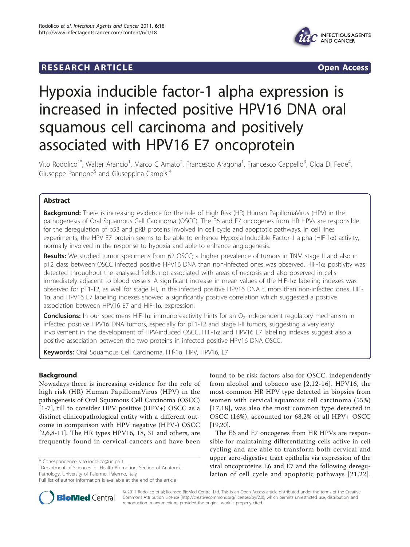## **RESEARCH ARTICLE EXECUTE: CONSIDERING ACCESS**



# Hypoxia inducible factor-1 alpha expression is increased in infected positive HPV16 DNA oral squamous cell carcinoma and positively associated with HPV16 E7 oncoprotein

Vito Rodolico<sup>1\*</sup>, Walter Arancio<sup>1</sup>, Marco C Amato<sup>2</sup>, Francesco Aragona<sup>1</sup>, Francesco Cappello<sup>3</sup>, Olga Di Fede<sup>4</sup> , Giuseppe Pannone<sup>5</sup> and Giuseppina Campisi<sup>4</sup>

## Abstract

**Background:** There is increasing evidence for the role of High Risk (HR) Human PapillomaVirus (HPV) in the pathogenesis of Oral Squamous Cell Carcinoma (OSCC). The E6 and E7 oncogenes from HR HPVs are responsible for the deregulation of p53 and pRB proteins involved in cell cycle and apoptotic pathways. In cell lines experiments, the HPV E7 protein seems to be able to enhance Hypoxia Inducible Factor-1 alpha (HIF-1 $\alpha$ ) activity, normally involved in the response to hypoxia and able to enhance angiogenesis.

Results: We studied tumor specimens from 62 OSCC; a higher prevalence of tumors in TNM stage II and also in  $pT2$  class between OSCC infected positive HPV16 DNA than non-infected ones was observed. HIF-1 $\alpha$  positivity was detected throughout the analysed fields, not associated with areas of necrosis and also observed in cells immediately adjacent to blood vessels. A significant increase in mean values of the HIF-1 $\alpha$  labeling indexes was observed for pT1-T2, as well for stage I-II, in the infected positive HPV16 DNA tumors than non-infected ones. HIF- $1\alpha$  and HPV16 E7 labeling indexes showed a significantly positive correlation which suggested a positive association between HPV16 E7 and HIF-1 $\alpha$  expression.

**Conclusions:** In our specimens HIF-1 $\alpha$  immunoreactivity hints for an O<sub>2</sub>-independent regulatory mechanism in infected positive HPV16 DNA tumors, especially for pT1-T2 and stage I-II tumors, suggesting a very early involvement in the development of HPV-induced OSCC. HIF-1 $\alpha$  and HPV16 E7 labeling indexes suggest also a positive association between the two proteins in infected positive HPV16 DNA OSCC.

Keywords: Oral Squamous Cell Carcinoma, Hif-1α, HPV, HPV16, E7

## Background

Nowadays there is increasing evidence for the role of high risk (HR) Human PapillomaVirus (HPV) in the pathogenesis of Oral Squamous Cell Carcinoma (OSCC) [[1](#page-6-0)-[7\]](#page-6-0), till to consider HPV positive (HPV+) OSCC as a distinct clinicopathological entity with a different outcome in comparison with HPV negative (HPV-) OSCC [[2,6,8](#page-6-0)-[11\]](#page-6-0). The HR types HPV16, 18, 31 and others, are frequently found in cervical cancers and have been

\* Correspondence: [vito.rodolico@unipa.it](mailto:vito.rodolico@unipa.it)

<sup>1</sup>Department of Sciences for Health Promotion, Section of Anatomic Pathology, University of Palermo, Palermo, Italy



The E6 and E7 oncogenes from HR HPVs are responsible for maintaining differentiating cells active in cell cycling and are able to transform both cervical and upper aero-digestive tract epithelia via expression of the viral oncoproteins E6 and E7 and the following deregulation of cell cycle and apoptotic pathways [[21](#page-7-0),[22\]](#page-7-0).



© 2011 Rodolico et al; licensee BioMed Central Ltd. This is an Open Access article distributed under the terms of the Creative Commons Attribution License [\(http://creativecommons.org/licenses/by/2.0](http://creativecommons.org/licenses/by/2.0)), which permits unrestricted use, distribution, and reproduction in any medium, provided the original work is properly cited.

Full list of author information is available at the end of the article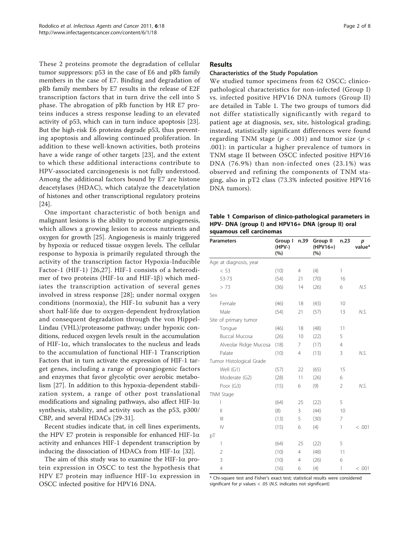These 2 proteins promote the degradation of cellular tumor suppressors: p53 in the case of E6 and pRb family members in the case of E7. Binding and degradation of pRb family members by E7 results in the release of E2F transcription factors that in turn drive the cell into S phase. The abrogation of pRb function by HR E7 proteins induces a stress response leading to an elevated activity of p53, which can in turn induce apoptosis [\[23](#page-7-0)]. But the high-risk E6 proteins degrade p53, thus preventing apoptosis and allowing continued proliferation. In addition to these well-known activities, both proteins have a wide range of other targets [[23\]](#page-7-0), and the extent to which these additional interactions contribute to HPV-associated carcinogenesis is not fully understood. Among the additional factors bound by E7 are histone deacetylases (HDAC), which catalyze the deacetylation of histones and other transcriptional regulatory proteins [[24\]](#page-7-0).

One important characteristic of both benign and malignant lesions is the ability to promote angiogenesis, which allows a growing lesion to access nutrients and oxygen for growth [[25\]](#page-7-0). Angiogenesis is mainly triggered by hypoxia or reduced tissue oxygen levels. The cellular response to hypoxia is primarily regulated through the activity of the transcription factor Hypoxia-Inducible Factor-1 (HIF-1) [[26,27](#page-7-0)]. HIF-1 consists of a heterodimer of two proteins (HIF-1 $\alpha$  and HIF-1 $\beta$ ) which mediates the transcription activation of several genes involved in stress response [[28](#page-7-0)]; under normal oxygen conditions (normoxia), the HIF-1 $\alpha$  subunit has a very short half-life due to oxygen-dependent hydroxylation and consequent degradation through the von Hippel-Lindau (VHL)/proteasome pathway; under hypoxic conditions, reduced oxygen levels result in the accumulation of HIF-1 $\alpha$ , which translocates to the nucleus and leads to the accumulation of functional HIF-1 Transcription Factors that in turn activate the expression of HIF-1 target genes, including a range of proangiogenic factors and enzymes that favor glycolytic over aerobic metabolism [[27\]](#page-7-0). In addition to this hypoxia-dependent stabilization system, a range of other post translational modifications and signaling pathways, also affect HIF-1 $\alpha$ synthesis, stability, and activity such as the p53, p300/ CBP, and several HDACs [\[29](#page-7-0)-[31](#page-7-0)].

Recent studies indicate that, in cell lines experiments, the HPV E7 protein is responsible for enhanced HIF-1 $\alpha$ activity and enhances HIF-1 dependent transcription by inducing the dissociation of HDACs from HIF-1 $\alpha$  [[32](#page-7-0)].

The aim of this study was to examine the HIF-1 $\alpha$  protein expression in OSCC to test the hypothesis that HPV E7 protein may influence HIF-1a expression in OSCC infected positive for HPV16 DNA.

#### **Results**

#### Characteristics of the Study Population

We studied tumor specimens from 62 OSCC; clinicopathological characteristics for non-infected (Group I) vs. infected positive HPV16 DNA tumors (Group II) are detailed in Table 1. The two groups of tumors did not differ statistically significantly with regard to patient age at diagnosis, sex, site, histological grading; instead, statistically significant differences were found regarding TNM stage ( $p < .001$ ) and tumor size ( $p <$ .001): in particular a higher prevalence of tumors in TNM stage II between OSCC infected positive HPV16 DNA (76.9%) than non-infected ones (23.1%) was observed and refining the components of TNM staging, also in pT2 class (73.3% infected positive HPV16 DNA tumors).

| Table 1 Comparison of clinico-pathological parameters in |
|----------------------------------------------------------|
| HPV- DNA (group I) and HPV16+ DNA (group II) oral        |
| squamous cell carcinomas                                 |

| <b>Parameters</b>        | Group I<br>(HPV-)<br>(%) | n.39           | Group II<br>$(HPV16+)$<br>(%) | n.23           | p<br>value* |
|--------------------------|--------------------------|----------------|-------------------------------|----------------|-------------|
| Age at diagnosis, year   |                          |                |                               |                |             |
| < 53                     | (10)                     | $\overline{4}$ | (4)                           | 1              |             |
| 53-73                    | (54)                     | 21             | (70)                          | 16             |             |
| > 73                     | (36)                     | 14             | (26)                          | 6              | N.S         |
| Sex                      |                          |                |                               |                |             |
| Female                   | (46)                     | 18             | (43)                          | 10             |             |
| Male                     | (54)                     | 21             | (57)                          | 13             | N.S.        |
| Site of primary tumor    |                          |                |                               |                |             |
| Tongue                   | (46)                     | 18             | (48)                          | 11             |             |
| Buccal Mucosa            | (26)                     | 10             | (22)                          | 5              |             |
| Alveolar Ridge Mucosa    | (18)                     | 7              | (17)                          | 4              |             |
| Palate                   | (10)                     | 4              | (13)                          | 3              | N.S.        |
| Tumor Histological Grade |                          |                |                               |                |             |
| Well (G1)                | (57)                     | 22             | (65)                          | 15             |             |
| Moderate (G2)            | (28)                     | 11             | (26)                          | 6              |             |
| Poor (G3)                | (15)                     | 6              | (9)                           | $\overline{2}$ | N.S.        |
| TNM Stage                |                          |                |                               |                |             |
| I                        | (64)                     | 25             | (22)                          | 5              |             |
| $\mathsf{II}$            | (8)                      | 3              | (44)                          | 10             |             |
| Ш                        | (13)                     | 5              | (30)                          | 7              |             |
| $\mathsf{IV}$            | (15)                     | 6              | (4)                           | 1              | < .001      |
| рT                       |                          |                |                               |                |             |
| 1                        | (64)                     | 25             | (22)                          | 5              |             |
| $\overline{2}$           | (10)                     | $\overline{4}$ | (48)                          | 11             |             |
| 3                        | (10)                     | $\overline{4}$ | (26)                          | 6              |             |
| $\overline{4}$           | (16)                     | 6              | (4)                           | 1              | < .001      |

\* Chi-square test and Fisher's exact test; statistical results were considered significant for  $p$  values < .05 (N.S. indicates not significant)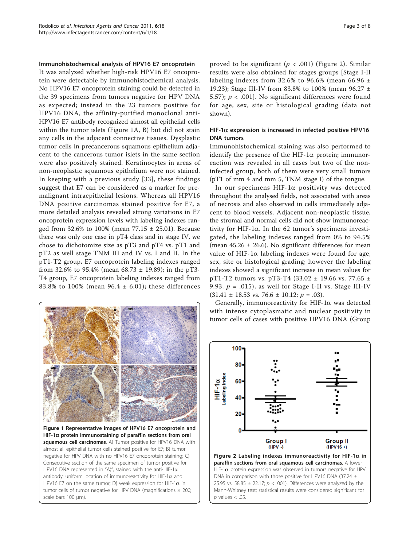<span id="page-2-0"></span>Immunohistochemical analysis of HPV16 E7 oncoprotein

It was analyzed whether high-risk HPV16 E7 oncoprotein were detectable by immunohistochemical analysis. No HPV16 E7 oncoprotein staining could be detected in the 39 specimens from tumors negative for HPV DNA as expected; instead in the 23 tumors positive for HPV16 DNA, the affinity-purified monoclonal anti-HPV16 E7 antibody recognized almost all epithelial cells within the tumor islets (Figure 1A, B) but did not stain any cells in the adjacent connective tissues. Dysplastic tumor cells in precancerous squamous epithelium adjacent to the cancerous tumor islets in the same section were also positively stained. Keratinocytes in areas of non-neoplastic squamous epithelium were not stained. In keeping with a previous study [\[33\]](#page-7-0), these findings suggest that E7 can be considered as a marker for premalignant intraepithelial lesions. Whereas all HPV16 DNA positive carcinomas stained positive for E7, a more detailed analysis revealed strong variations in E7 oncoprotein expression levels with labeling indexes ranged from 32.6% to 100% (mean  $77.15 \pm 25.01$ ). Because there was only one case in pT4 class and in stage IV, we chose to dichotomize size as pT3 and pT4 vs. pT1 and pT2 as well stage TNM III and IV vs. I and II. In the pT1-T2 group, E7 oncoprotein labeling indexes ranged from 32.6% to 95.4% (mean 68.73  $\pm$  19.89); in the pT3-T4 group, E7 oncoprotein labeling indexes ranged from 83,8% to 100% (mean 96.4  $\pm$  6.01); these differences



Figure 1 Representative images of HPV16 E7 oncoprotein and HIF-1 $\alpha$  protein immunostaining of paraffin sections from oral squamous cell carcinomas. A) Tumor positive for HPV16 DNA with almost all epithelial tumor cells stained positive for E7; B) tumor negative for HPV DNA with no HPV16 E7 oncoprotein staining; C) Consecutive section of the same specimen of tumor positive for HPV16 DNA represented in "A)", stained with the anti-HIF-1 $\alpha$ antibody: uniform location of immunoreactivity for HIF-1 $\alpha$  and HPV16 E7 on the same tumor; D) weak expression for HIF-1 $\alpha$  in tumor cells of tumor negative for HPV DNA (magnifications  $\times$  200; scale bars 100 μm).

proved to be significant ( $p < .001$ ) (Figure 2). Similar results were also obtained for stages groups [Stage I-II labeling indexes from 32.6% to 96.6% (mean 66.96  $\pm$ 19.23); Stage III-IV from 83.8% to 100% (mean 96.27 ± 5.57);  $p < .001$ ]. No significant differences were found for age, sex, site or histological grading (data not shown).

### HIF-1 $\alpha$  expression is increased in infected positive HPV16 DNA tumors

Immunohistochemical staining was also performed to identify the presence of the HIF-1 $\alpha$  protein; immunoreaction was revealed in all cases but two of the noninfected group, both of them were very small tumors (pT1 of mm 4 and mm 5, TNM stage I) of the tongue.

In our specimens  $HIF-1\alpha$  positivity was detected throughout the analysed fields, not associated with areas of necrosis and also observed in cells immediately adjacent to blood vessels. Adjacent non-neoplastic tissue, the stromal and normal cells did not show immunoreactivity for HIF-1 $\alpha$ . In the 62 tumor's specimens investigated, the labeling indexes ranged from 0% to 94.5% (mean  $45.26 \pm 26.6$ ). No significant differences for mean value of HIF-1 $\alpha$  labeling indexes were found for age, sex, site or histological grading; however the labeling indexes showed a significant increase in mean values for pT1-T2 tumors vs. pT3-T4 (33.02  $\pm$  19.66 vs. 77.65  $\pm$ 9.93;  $p = .015$ ), as well for Stage I-II vs. Stage III-IV  $(31.41 \pm 18.53 \text{ vs. } 76.6 \pm 10.12; p = .03).$ 

Generally, immunoreactivity for HIF-1 $\alpha$  was detected with intense cytoplasmatic and nuclear positivity in tumor cells of cases with positive HPV16 DNA (Group



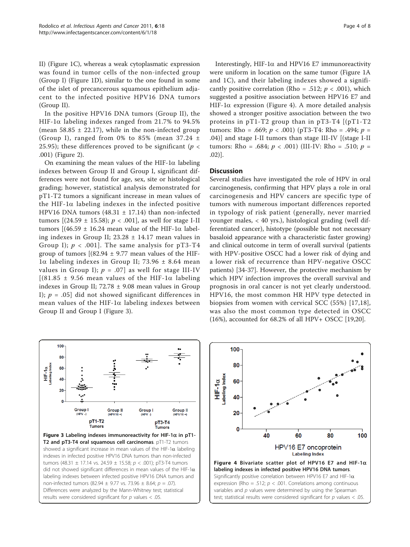II) (Figure [1C](#page-2-0)), whereas a weak cytoplasmatic expression was found in tumor cells of the non-infected group (Group I) (Figure [1D](#page-2-0)), similar to the one found in some of the islet of precancerous squamous epithelium adjacent to the infected positive HPV16 DNA tumors (Group II).

In the positive HPV16 DNA tumors (Group II), the HIF-1 $\alpha$  labeling indexes ranged from 21.7% to 94.5% (mean  $58.85 \pm 22.17$ ), while in the non-infected group (Group I), ranged from 0% to 85% (mean  $37.24 \pm$ 25.95); these differences proved to be significant ( $p <$ .001) (Figure [2\)](#page-2-0).

On examining the mean values of the HIF-1 $\alpha$  labeling indexes between Group II and Group I, significant differences were not found for age, sex, site or histological grading; however, statistical analysis demonstrated for pT1-T2 tumors a significant increase in mean values of the HIF-1 $\alpha$  labeling indexes in the infected positive HPV16 DNA tumors (48.31  $\pm$  17.14) than non-infected tumors  $[(24.59 \pm 15.58); p < .001]$ , as well for stage I-II tumors  $[(46.59 \pm 16.24 \text{ mean value of the HIF-1}\alpha \text{ label}$ ing indexes in Group II;  $23.28 \pm 14.17$  mean values in Group I);  $p < .001$ . The same analysis for pT3-T4 group of tumors  $[(82.94 \pm 9.77 \text{ mean values of the HIF}]$  $1\alpha$  labeling indexes in Group II; 73.96  $\pm$  8.64 mean values in Group I);  $p = .07$  as well for stage III-IV  $[(81.85 \pm 9.56 \text{ mean values of the HIF-1}\alpha \text{ labeling}]$ indexes in Group II; 72.78 ± 9.08 mean values in Group I);  $p = .05$ ] did not showed significant differences in mean values of the HIF-1 $\alpha$  labeling indexes between Group II and Group I (Figure 3).

Interestingly, HIF-1 $\alpha$  and HPV16 E7 immunoreactivity were uniform in location on the same tumor (Figure [1A](#page-2-0) and [1C](#page-2-0)), and their labeling indexes showed a significantly positive correlation (Rho = .512;  $p < .001$ ), which suggested a positive association between HPV16 E7 and HIF-1 $\alpha$  expression (Figure 4). A more detailed analysis showed a stronger positive association between the two proteins in  $pT1-T2$  group than in  $pT3-T4$  [( $pT1-T2$ ) tumors: Rho = .669;  $p < .001$ ) (pT3-T4: Rho = .494;  $p =$ .04)] and stage I-II tumors than stage III-IV [(stage I-II tumors: Rho = .684;  $p < .001$ ) (III-IV: Rho = .510;  $p =$ .02)].

### **Discussion**

Several studies have investigated the role of HPV in oral carcinogenesis, confirming that HPV plays a role in oral carcinogenesis and HPV cancers are specific type of tumors with numerous important differences reported in typology of risk patient (generally, never married younger males, < 40 yrs.), histological grading (well differentiated cancer), histotype (possible but not necessary basaloid appearance with a characteristic faster growing) and clinical outcome in term of overall survival (patients with HPV-positive OSCC had a lower risk of dying and a lower risk of recurrence than HPV-negative OSCC patients) [\[34](#page-7-0)-[37](#page-7-0)]. However, the protective mechanism by which HPV infection improves the overall survival and prognosis in oral cancer is not yet clearly understood. HPV16, the most common HR HPV type detected in biopsies from women with cervical SCC (55%) [[17,18](#page-6-0)], was also the most common type detected in OSCC (16%), accounted for 68.2% of all HPV+ OSCC [\[19](#page-6-0)[,20\]](#page-7-0).



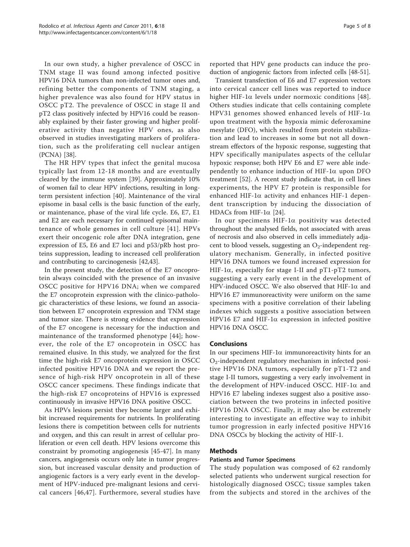In our own study, a higher prevalence of OSCC in TNM stage II was found among infected positive HPV16 DNA tumors than non-infected tumor ones and, refining better the components of TNM staging, a higher prevalence was also found for HPV status in OSCC pT2. The prevalence of OSCC in stage II and pT2 class positively infected by HPV16 could be reasonably explained by their faster growing and higher proliferative activity than negative HPV ones, as also observed in studies investigating markers of proliferation, such as the proliferating cell nuclear antigen (PCNA) [[38\]](#page-7-0).

The HR HPV types that infect the genital mucosa typically last from 12-18 months and are eventually cleared by the immune system [[39\]](#page-7-0). Approximately 10% of women fail to clear HPV infections, resulting in longterm persistent infection [[40\]](#page-7-0). Maintenance of the viral episome in basal cells is the basic function of the early, or maintenance, phase of the viral life cycle. E6, E7, E1 and E2 are each necessary for continued episomal maintenance of whole genomes in cell culture [[41\]](#page-7-0). HPVs exert their oncogenic role after DNA integration, gene expression of E5, E6 and E7 loci and p53/pRb host proteins suppression, leading to increased cell proliferation and contributing to carcinogenesis [\[42,43\]](#page-7-0).

In the present study, the detection of the E7 oncoprotein always coincided with the presence of an invasive OSCC positive for HPV16 DNA; when we compared the E7 oncoprotein expression with the clinico-pathologic characteristics of these lesions, we found an association between E7 oncoprotein expression and TNM stage and tumor size. There is strong evidence that expression of the E7 oncogene is necessary for the induction and maintenance of the transformed phenotype [[44\]](#page-7-0); however, the role of the E7 oncoprotein in OSCC has remained elusive. In this study, we analyzed for the first time the high-risk E7 oncoprotein expression in OSCC infected positive HPV16 DNA and we report the presence of high-risk HPV oncoprotein in all of these OSCC cancer specimens. These findings indicate that the high-risk E7 oncoproteins of HPV16 is expressed continuously in invasive HPV16 DNA positive OSCC.

As HPVs lesions persist they become larger and exhibit increased requirements for nutrients. In proliferating lesions there is competition between cells for nutrients and oxygen, and this can result in arrest of cellular proliferation or even cell death. HPV lesions overcome this constraint by promoting angiogenesis [[45-47\]](#page-7-0). In many cancers, angiogenesis occurs only late in tumor progression, but increased vascular density and production of angiogenic factors is a very early event in the development of HPV-induced pre-malignant lesions and cervical cancers [[46,47\]](#page-7-0). Furthermore, several studies have reported that HPV gene products can induce the production of angiogenic factors from infected cells [[48-51\]](#page-7-0).

Transient transfection of E6 and E7 expression vectors into cervical cancer cell lines was reported to induce higher HIF-1 $\alpha$  levels under normoxic conditions [[48](#page-7-0)]. Others studies indicate that cells containing complete HPV31 genomes showed enhanced levels of HIF-1 $\alpha$ upon treatment with the hypoxia mimic deferoxamine mesylate (DFO), which resulted from protein stabilization and lead to increases in some but not all downstream effectors of the hypoxic response, suggesting that HPV specifically manipulates aspects of the cellular hypoxic response; both HPV E6 and E7 were able independently to enhance induction of  $HIF-1\alpha$  upon DFO treatment [\[52](#page-7-0)]. A recent study indicate that, in cell lines experiments, the HPV E7 protein is responsible for enhanced HIF-1 $\alpha$  activity and enhances HIF-1 dependent transcription by inducing the dissociation of HDACs from HIF-1 $\alpha$  [[24](#page-7-0)].

In our specimens HIF-1 $\alpha$  positivity was detected throughout the analysed fields, not associated with areas of necrosis and also observed in cells immediately adjacent to blood vessels, suggesting an  $O_2$ -independent regulatory mechanism. Generally, in infected positive HPV16 DNA tumors we found increased expression for HIF-1 $\alpha$ , especially for stage I-II and pT1-pT2 tumors, suggesting a very early event in the development of HPV-induced OSCC. We also observed that HIF-1 $\alpha$  and HPV16 E7 immunoreactivity were uniform on the same specimens with a positive correlation of their labeling indexes which suggests a positive association between HPV16 E7 and HIF-1 $\alpha$  expression in infected positive HPV16 DNA OSCC.

#### Conclusions

In our specimens HIF-1 $\alpha$  immunoreactivity hints for an O<sub>2</sub>-independent regulatory mechanism in infected positive HPV16 DNA tumors, especially for pT1-T2 and stage I-II tumors, suggesting a very early involvement in the development of HPV-induced OSCC. HIF-1 $\alpha$  and HPV16 E7 labeling indexes suggest also a positive association between the two proteins in infected positive HPV16 DNA OSCC. Finally, it may also be extremely interesting to investigate an effective way to inhibit tumor progression in early infected positive HPV16 DNA OSCCs by blocking the activity of HIF-1.

#### Methods

#### Patients and Tumor Specimens

The study population was composed of 62 randomly selected patients who underwent surgical resection for histologically diagnosed OSCC; tissue samples taken from the subjects and stored in the archives of the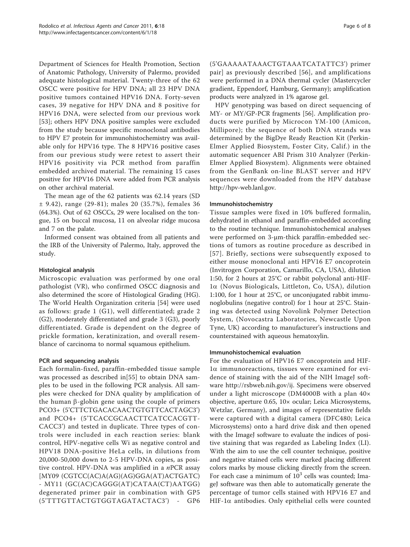Department of Sciences for Health Promotion, Section of Anatomic Pathology, University of Palermo, provided adequate histological material. Twenty-three of the 62 OSCC were positive for HPV DNA; all 23 HPV DNA positive tumors contained HPV16 DNA. Forty-seven cases, 39 negative for HPV DNA and 8 positive for HPV16 DNA, were selected from our previous work [[53](#page-7-0)]; others HPV DNA positive samples were excluded from the study because specific monoclonal antibodies to HPV E7 protein for immunohistochemistry was available only for HPV16 type. The 8 HPV16 positive cases from our previous study were retest to assert their HPV16 positivity via PCR method from paraffin embedded archived material. The remaining 15 cases positive for HPV16 DNA were added from PCR analysis on other archival material.

The mean age of the 62 patients was 62.14 years (SD ± 9.42), range (29-81); males 20 (35.7%), females 36 (64.3%). Out of 62 OSCCs, 29 were localised on the tongue, 15 on buccal mucosa, 11 on alveolar ridge mucosa and 7 on the palate.

Informed consent was obtained from all patients and the IRB of the University of Palermo, Italy, approved the study.

## Histological analysis

Microscopic evaluation was performed by one oral pathologist (VR), who confirmed OSCC diagnosis and also determined the score of Histological Grading (HG). The World Health Organization criteria [[54\]](#page-7-0) were used as follows: grade 1 (G1), well differentiated; grade 2 (G2), moderately differentiated and grade 3 (G3), poorly differentiated. Grade is dependent on the degree of prickle formation, keratinization, and overall resemblance of carcinoma to normal squamous epithelium.

## PCR and sequencing analysis

Each formalin-fixed, paraffin-embedded tissue sample was processed as described in[\[55](#page-7-0)] to obtain DNA samples to be used in the following PCR analysis. All samples were checked for DNA quality by amplification of the human  $\beta$ -globin gene using the couple of primers PCO3+ (5'CTTCTGACACAACTGTGTTCACTAGC3') and PCO4+ (5'TCACCGCAACTTCATCCACGTT-CACC3') and tested in duplicate. Three types of controls were included in each reaction series: blank control, HPV-negative cells Wi as negative control and HPV18 DNA-positive HeLa cells, in dilutions from 20,000-50,000 down to 2-5 HPV-DNA copies, as positive control. HPV-DNA was amplified in a  $nPCR$  assay [MY09 (CGTCC(AC)A(AG)(AG)GGA(AT)ACTGATC) - MY11 (GC(AC)CAGGG(AT)CATAA(CT)AATGG) degenerated primer pair in combination with GP5 (5'TTTGTTACTGTGGTAGATACTAC3') - GP6

(5'GAAAAATAAACTGTAAATCATATTC3') primer pair] as previously described [[56](#page-7-0)], and amplifications were performed in a DNA thermal cycler (Mastercycler gradient, Eppendorf, Hamburg, Germany); amplification products were analyzed in 1% agarose gel.

HPV genotyping was based on direct sequencing of MY- or MY/GP-PCR fragments [[56\]](#page-7-0). Amplification products were purified by Microcon YM-100 (Amicon, Millipore); the sequence of both DNA strands was determined by the BigDye Ready Reaction Kit (Perkin-Elmer Applied Biosystem, Foster City, Calif.) in the automatic sequencer ABI Prism 310 Analyzer (Perkin-Elmer Applied Biosystem). Alignments were obtained from the GenBank on-line BLAST server and HPV sequences were downloaded from the HPV database [http://hpv-web.lanl.gov.](http://hpv-web.lanl.gov)

## Immunohistochemistry

Tissue samples were fixed in 10% buffered formalin, dehydrated in ethanol and paraffin-embedded according to the routine technique. Immunohistochemical analyses were performed on 3-μm-thick paraffin-embedded sections of tumors as routine procedure as described in [[57\]](#page-7-0). Briefly, sections were subsequently exposed to either mouse monoclonal anti HPV16 E7 oncoprotein (Invitrogen Corporation, Camarillo, CA, USA), dilution 1:50, for 2 hours at 25°C or rabbit polyclonal anti-HIF-1a (Novus Biologicals, Littleton, Co, USA), dilution 1:100, for 1 hour at 25°C, or unconjugated rabbit immunoglobulins (negative control) for 1 hour at 25°C. Staining was detected using Novolink Polymer Detection System, (Novocastra Laboratories, Newcastle Upon Tyne, UK) according to manufacturer's instructions and counterstained with aqueous hematoxylin.

## Immunohistochemical evaluation

For the evaluation of HPV16 E7 oncoprotein and HIF-1a immunoreactions, tissues were examined for evidence of staining with the aid of the NIH ImageJ software [http://rsbweb.nih.gov/ij.](http://rsbweb.nih.gov/ij) Specimens were observed under a light microscope (DM4000B with a plan 40× objective, aperture 0.65, 10× ocular; Leica Microsystems, Wetzlar, Germany), and images of representative fields were captured with a digital camera (DFC480; Leica Microsystems) onto a hard drive disk and then opened with the ImageJ software to evaluate the indices of positive staining that was regarded as Labeling Index (LI). With the aim to use the cell counter technique, positive and negative stained cells were marked placing different colors marks by mouse clicking directly from the screen. For each case a minimum of  $10<sup>3</sup>$  cells was counted; ImageJ software was then able to automatically generate the percentage of tumor cells stained with HPV16 E7 and  $HIF-1\alpha$  antibodies. Only epithelial cells were counted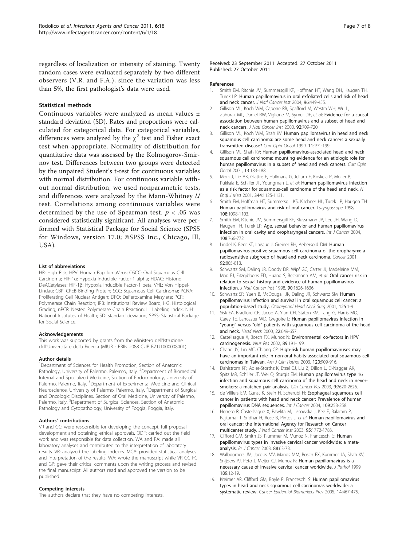<span id="page-6-0"></span>regardless of localization or intensity of staining. Twenty random cases were evaluated separately by two different observers (V.R. and F.A.); since the variation was less than 5%, the first pathologist's data were used.

#### Statistical methods

Continuous variables were analyzed as mean values ± standard deviation (SD). Rates and proportions were calculated for categorical data. For categorical variables, differences were analyzed by the  $\chi^2$  test and Fisher exact test when appropriate. Normality of distribution for quantitative data was assessed by the Kolmogorov-Smirnov test. Differences between two groups were detected by the unpaired Student's t-test for continuous variables with normal distribution. For continuous variable without normal distribution, we used nonparametric tests, and differences were analyzed by the Mann-Whitney U test. Correlations among continuous variables were determined by the use of Spearman test.  $p < .05$  was considered statistically significant. All analyses were performed with Statistical Package for Social Science (SPSS for Windows, version 17.0; ©SPSS Inc., Chicago, Ill, USA).

#### List of abbreviations

HR: High Risk; HPV: Human PapillomaVirus; OSCC: Oral Squamous Cell Carcinoma; HIF-1α: Hypoxia Inducible Factor-1 alpha; HDAC: Histone DeACetylases; HIF-1β: Hypoxia Inducible Factor-1 beta; VHL: Von Hippel-Lindau; CBP: CREB Binding Protein; SCC: Squamous Cell Carcinoma; PCNA: Proliferating Cell Nuclear Antigen; DFO: DeFeroxamine Mesylate; PCR: Polymerase Chain Reaction; IRB: Institutional Review Board; HG: Histological Grading; nPCR: Nested Polymerase Chain Reaction; LI: Labeling Index; NIH: National Institutes of Health; SD: standard deviation; SPSS: Statistical Package for Social Science.

#### Acknowledgements

This work was supported by grants from the Ministero dell'Istruzione dell'Università e della Ricerca (MIUR - PRIN 2088 CUP B71J1000008001).

#### Author details

<sup>1</sup>Department of Sciences for Health Promotion, Section of Anatomic Pathology, University of Palermo, Palermo, Italy. <sup>2</sup>Department of Biomedical Internal and Specialized Medicine, Section of Endocrinology, University of Palermo, Palermo, Italy. <sup>3</sup>Department of Experimental Medicine and Clinical Neuroscience, University of Palermo, Palermo, Italy. <sup>4</sup>Department of Surgical and Oncologic Disciplines, Section of Oral Medicine, University of Palermo, Palermo, Italy. <sup>5</sup>Department of Surgical Sciences, Section of Anatomic Pathology and Cytopathology, University of Foggia, Foggia, Italy.

#### Authors' contributions

VR and GC: were responsible for developing the concept, full proposal development and obtaining ethical approvals. ODF: carried out the field work and was responsible for data collection. WA and FA: made all laboratory analyses and contributed to the interpretation of laboratory results. VR: analyzed the labeling indexes. MCA: provided statistical analyses and interpretation of the results. WA: wrote the manuscript while VR GC FC and GP: gave their critical comments upon the writing process and revised the final manuscript. All authors read and approved the version to be published.

#### Competing interests

The authors declare that they have no competing interests.

Received: 23 September 2011 Accepted: 27 October 2011 Published: 27 October 2011

#### References

- 1. Smith EM, Ritchie JM, Summersgill KF, Hoffman HT, Wang DH, Haugen TH, Turek LP: [Human papillomavirus in oral exfoliated cells and risk of head](http://www.ncbi.nlm.nih.gov/pubmed/15026470?dopt=Abstract) [and neck cancer.](http://www.ncbi.nlm.nih.gov/pubmed/15026470?dopt=Abstract) J Natl Cancer Inst 2004, 96:449-455.
- 2. Gillison ML, Koch WM, Capone RB, Spafford M, Westra WH, Wu L, Zahurak ML, Daniel RW, Viglione M, Symer DE, et al: [Evidence for a causal](http://www.ncbi.nlm.nih.gov/pubmed/10793107?dopt=Abstract) [association between human papillomavirus and a subset of head and](http://www.ncbi.nlm.nih.gov/pubmed/10793107?dopt=Abstract) [neck cancers.](http://www.ncbi.nlm.nih.gov/pubmed/10793107?dopt=Abstract) J Natl Cancer Inst 2000, 92:709-720.
- 3. Gillison ML, Koch WM, Shah KV: [Human papillomavirus in head and neck](http://www.ncbi.nlm.nih.gov/pubmed/10328594?dopt=Abstract) [squamous cell carcinoma: are some head and neck cancers a sexually](http://www.ncbi.nlm.nih.gov/pubmed/10328594?dopt=Abstract) [transmitted disease?](http://www.ncbi.nlm.nih.gov/pubmed/10328594?dopt=Abstract) Curr Opin Oncol 1999, 11:191-199
- 4. Gillison ML, Shah KV: [Human papillomavirus-associated head and neck](http://www.ncbi.nlm.nih.gov/pubmed/11307062?dopt=Abstract) [squamous cell carcinoma: mounting evidence for an etiologic role for](http://www.ncbi.nlm.nih.gov/pubmed/11307062?dopt=Abstract) [human papillomavirus in a subset of head and neck cancers.](http://www.ncbi.nlm.nih.gov/pubmed/11307062?dopt=Abstract) Curr Opin Oncol 2001, 13:183-188.
- 5. Mork J, Lie AK, Glattre E, Hallmans G, Jellum E, Koskela P, Moller B, Pukkala E, Schiller JT, Youngman L, et al: [Human papillomavirus infection](http://www.ncbi.nlm.nih.gov/pubmed/11297703?dopt=Abstract) [as a risk factor for squamous-cell carcinoma of the head and neck.](http://www.ncbi.nlm.nih.gov/pubmed/11297703?dopt=Abstract) N Engl J Med 2001, 344:1125-1131.
- 6. Smith EM, Hoffman HT, Summersgill KS, Kirchner HL, Turek LP, Haugen TH: [Human papillomavirus and risk of oral cancer.](http://www.ncbi.nlm.nih.gov/pubmed/9665264?dopt=Abstract) Laryngoscope 1998, 108:1098-1103.
- 7. Smith EM, Ritchie JM, Summersgill KF, Klussmann JP, Lee JH, Wang D, Haugen TH, Turek LP: [Age, sexual behavior and human papillomavirus](http://www.ncbi.nlm.nih.gov/pubmed/14696105?dopt=Abstract) [infection in oral cavity and oropharyngeal cancers.](http://www.ncbi.nlm.nih.gov/pubmed/14696105?dopt=Abstract) Int J Cancer 2004, 108:766-772.
- 8. Lindel K, Beer KT, Laissue J, Greiner RH, Aebersold DM: [Human](http://www.ncbi.nlm.nih.gov/pubmed/11550151?dopt=Abstract) [papillomavirus positive squamous cell carcinoma of the oropharynx: a](http://www.ncbi.nlm.nih.gov/pubmed/11550151?dopt=Abstract) [radiosensitive subgroup of head and neck carcinoma.](http://www.ncbi.nlm.nih.gov/pubmed/11550151?dopt=Abstract) Cancer 2001, 92:805-813.
- 9. Schwartz SM, Daling JR, Doody DR, Wipf GC, Carter JJ, Madeleine MM, Mao EJ, Fitzgibbons ED, Huang S, Beckmann AM, et al: [Oral cancer risk in](http://www.ncbi.nlm.nih.gov/pubmed/9811312?dopt=Abstract) [relation to sexual history and evidence of human papillomavirus](http://www.ncbi.nlm.nih.gov/pubmed/9811312?dopt=Abstract) [infection.](http://www.ncbi.nlm.nih.gov/pubmed/9811312?dopt=Abstract) J Natl Cancer Inst 1998, 90:1626-1636.
- 10. Schwartz SR, Yueh B, McDougall JK, Daling JR, Schwartz SM: [Human](http://www.ncbi.nlm.nih.gov/pubmed/11458206?dopt=Abstract) [papillomavirus infection and survival in oral squamous cell cancer: a](http://www.ncbi.nlm.nih.gov/pubmed/11458206?dopt=Abstract) [population-based study.](http://www.ncbi.nlm.nih.gov/pubmed/11458206?dopt=Abstract) Otolaryngol Head Neck Surg 2001, 125:1-9.
- 11. Sisk EA, Bradford CR, Jacob A, Yian CH, Staton KM, Tang G, Harris MO, Carey TE, Lancaster WD, Gregoire L: [Human papillomavirus infection in](http://www.ncbi.nlm.nih.gov/pubmed/11002318?dopt=Abstract) "young" versus "old" [patients with squamous cell carcinoma of the head](http://www.ncbi.nlm.nih.gov/pubmed/11002318?dopt=Abstract) [and neck.](http://www.ncbi.nlm.nih.gov/pubmed/11002318?dopt=Abstract) Head Neck 2000, 22:649-657.
- 12. Castellsague X, Bosch FX, Munoz N: Environmental [co-factors in HPV](http://www.ncbi.nlm.nih.gov/pubmed/12445659?dopt=Abstract) [carcinogenesis.](http://www.ncbi.nlm.nih.gov/pubmed/12445659?dopt=Abstract) Virus Res 2002, 89:191-199.
- 13. Chang JY, Lin MC, Chiang CP: [High-risk human papillomaviruses may](http://www.ncbi.nlm.nih.gov/pubmed/14671980?dopt=Abstract) [have an important role in non-oral habits-associated oral squamous cell](http://www.ncbi.nlm.nih.gov/pubmed/14671980?dopt=Abstract) [carcinomas in Taiwan.](http://www.ncbi.nlm.nih.gov/pubmed/14671980?dopt=Abstract) Am J Clin Pathol 2003, 120:909-916.
- 14. Dahlstrom KR, Adler-Storthz K, Etzel CJ, Liu Z, Dillon L, El-Naggar AK, Spitz MR, Schiller JT, Wei Q, Sturgis EM: [Human papillomavirus type 16](http://www.ncbi.nlm.nih.gov/pubmed/12855639?dopt=Abstract) [infection and squamous cell carcinoma of the head and neck in never](http://www.ncbi.nlm.nih.gov/pubmed/12855639?dopt=Abstract)[smokers: a matched pair analysis.](http://www.ncbi.nlm.nih.gov/pubmed/12855639?dopt=Abstract) Clin Cancer Res 2003, 9:2620-2626.
- 15. de Villiers EM, Gunst K, Stein H, Scherubl H: [Esophageal squamous cell](http://www.ncbi.nlm.nih.gov/pubmed/14750177?dopt=Abstract) [cancer in patients with head and neck cancer: Prevalence of human](http://www.ncbi.nlm.nih.gov/pubmed/14750177?dopt=Abstract) [papillomavirus DNA sequences.](http://www.ncbi.nlm.nih.gov/pubmed/14750177?dopt=Abstract) Int J Cancer 2004, 109:253-258.
- 16. Herrero R, Castellsague X, Pawlita M, Lissowska J, Kee F, Balaram P, Rajkumar T, Sridhar H, Rose B, Pintos J, et al: [Human papillomavirus and](http://www.ncbi.nlm.nih.gov/pubmed/14652239?dopt=Abstract) [oral cancer: the International Agency for Research on Cancer](http://www.ncbi.nlm.nih.gov/pubmed/14652239?dopt=Abstract) [multicenter study.](http://www.ncbi.nlm.nih.gov/pubmed/14652239?dopt=Abstract) J Natl Cancer Inst 2003, 95:1772-1783.
- 17. Clifford GM, Smith JS, Plummer M, Munoz N, Franceschi S: [Human](http://www.ncbi.nlm.nih.gov/pubmed/12556961?dopt=Abstract) [papillomavirus types in invasive cervical cancer worldwide: a meta](http://www.ncbi.nlm.nih.gov/pubmed/12556961?dopt=Abstract)[analysis.](http://www.ncbi.nlm.nih.gov/pubmed/12556961?dopt=Abstract) Br J Cancer 2003, 88:63-73.
- 18. Walboomers JM, Jacobs MV, Manos MM, Bosch FX, Kummer JA, Shah KV, Snijders PJ, Peto J, Meijer CJ, Munoz N: [Human papillomavirus is a](http://www.ncbi.nlm.nih.gov/pubmed/10451482?dopt=Abstract) [necessary cause of invasive cervical cancer worldwide.](http://www.ncbi.nlm.nih.gov/pubmed/10451482?dopt=Abstract) J Pathol 1999, 189:12-19.
- 19. Kreimer AR, Clifford GM, Boyle P, Franceschi S: [Human papillomavirus](http://www.ncbi.nlm.nih.gov/pubmed/15734974?dopt=Abstract) [types in head and neck squamous cell carcinomas worldwide: a](http://www.ncbi.nlm.nih.gov/pubmed/15734974?dopt=Abstract) [systematic review.](http://www.ncbi.nlm.nih.gov/pubmed/15734974?dopt=Abstract) Cancer Epidemiol Biomarkers Prev 2005, 14:467-475.